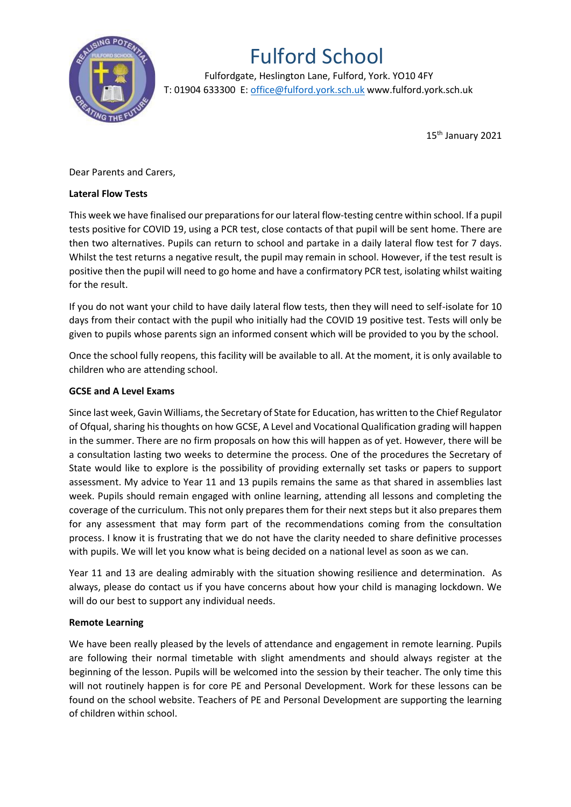

## Fulford School

 Fulfordgate, Heslington Lane, Fulford, York. YO10 4FY T: 01904 633300 E: office@fulford.york.sch.uk www.fulford.york.sch.uk

15th January 2021

Dear Parents and Carers,

## **Lateral Flow Tests**

This week we have finalised our preparations for our lateral flow-testing centre within school. If a pupil tests positive for COVID 19, using a PCR test, close contacts of that pupil will be sent home. There are then two alternatives. Pupils can return to school and partake in a daily lateral flow test for 7 days. Whilst the test returns a negative result, the pupil may remain in school. However, if the test result is positive then the pupil will need to go home and have a confirmatory PCR test, isolating whilst waiting for the result.

If you do not want your child to have daily lateral flow tests, then they will need to self-isolate for 10 days from their contact with the pupil who initially had the COVID 19 positive test. Tests will only be given to pupils whose parents sign an informed consent which will be provided to you by the school.

Once the school fully reopens, this facility will be available to all. At the moment, it is only available to children who are attending school.

## **GCSE and A Level Exams**

Since last week, Gavin Williams, the Secretary of State for Education, has written to the Chief Regulator of Ofqual, sharing his thoughts on how GCSE, A Level and Vocational Qualification grading will happen in the summer. There are no firm proposals on how this will happen as of yet. However, there will be a consultation lasting two weeks to determine the process. One of the procedures the Secretary of State would like to explore is the possibility of providing externally set tasks or papers to support assessment. My advice to Year 11 and 13 pupils remains the same as that shared in assemblies last week. Pupils should remain engaged with online learning, attending all lessons and completing the coverage of the curriculum. This not only prepares them for their next steps but it also prepares them for any assessment that may form part of the recommendations coming from the consultation process. I know it is frustrating that we do not have the clarity needed to share definitive processes with pupils. We will let you know what is being decided on a national level as soon as we can.

Year 11 and 13 are dealing admirably with the situation showing resilience and determination. As always, please do contact us if you have concerns about how your child is managing lockdown. We will do our best to support any individual needs.

## **Remote Learning**

We have been really pleased by the levels of attendance and engagement in remote learning. Pupils are following their normal timetable with slight amendments and should always register at the beginning of the lesson. Pupils will be welcomed into the session by their teacher. The only time this will not routinely happen is for core PE and Personal Development. Work for these lessons can be found on the school website. Teachers of PE and Personal Development are supporting the learning of children within school.